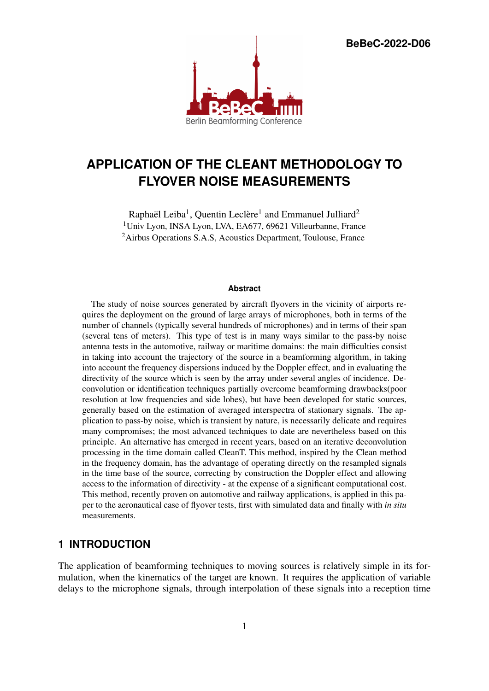**BeBeC-2022-D06**



# **APPLICATION OF THE CLEANT METHODOLOGY TO FLYOVER NOISE MEASUREMENTS**

Raphaël Leiba<sup>1</sup>, Quentin Leclère<sup>1</sup> and Emmanuel Julliard<sup>2</sup> <sup>1</sup>Univ Lyon, INSA Lyon, LVA, EA677, 69621 Villeurbanne, France <sup>2</sup>Airbus Operations S.A.S, Acoustics Department, Toulouse, France

#### **Abstract**

The study of noise sources generated by aircraft flyovers in the vicinity of airports requires the deployment on the ground of large arrays of microphones, both in terms of the number of channels (typically several hundreds of microphones) and in terms of their span (several tens of meters). This type of test is in many ways similar to the pass-by noise antenna tests in the automotive, railway or maritime domains: the main difficulties consist in taking into account the trajectory of the source in a beamforming algorithm, in taking into account the frequency dispersions induced by the Doppler effect, and in evaluating the directivity of the source which is seen by the array under several angles of incidence. Deconvolution or identification techniques partially overcome beamforming drawbacks(poor resolution at low frequencies and side lobes), but have been developed for static sources, generally based on the estimation of averaged interspectra of stationary signals. The application to pass-by noise, which is transient by nature, is necessarily delicate and requires many compromises; the most advanced techniques to date are nevertheless based on this principle. An alternative has emerged in recent years, based on an iterative deconvolution processing in the time domain called CleanT. This method, inspired by the Clean method in the frequency domain, has the advantage of operating directly on the resampled signals in the time base of the source, correcting by construction the Doppler effect and allowing access to the information of directivity - at the expense of a significant computational cost. This method, recently proven on automotive and railway applications, is applied in this paper to the aeronautical case of flyover tests, first with simulated data and finally with *in situ* measurements.

## **1 INTRODUCTION**

The application of beamforming techniques to moving sources is relatively simple in its formulation, when the kinematics of the target are known. It requires the application of variable delays to the microphone signals, through interpolation of these signals into a reception time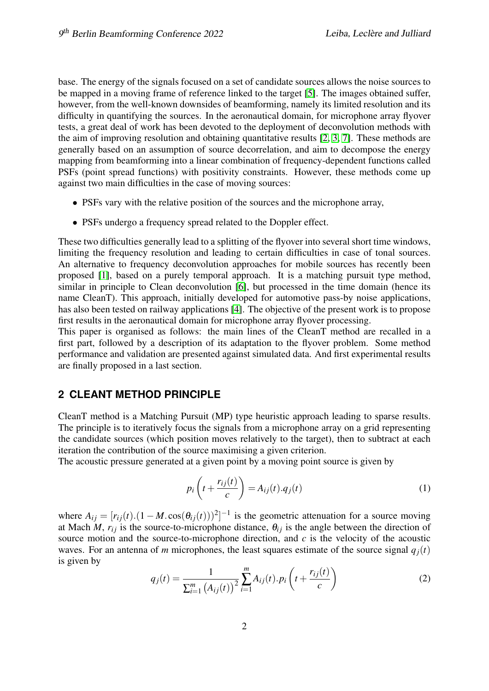base. The energy of the signals focused on a set of candidate sources allows the noise sources to be mapped in a moving frame of reference linked to the target [\[5\]](#page-7-0). The images obtained suffer, however, from the well-known downsides of beamforming, namely its limited resolution and its difficulty in quantifying the sources. In the aeronautical domain, for microphone array flyover tests, a great deal of work has been devoted to the deployment of deconvolution methods with the aim of improving resolution and obtaining quantitative results [\[2,](#page-7-1) [3,](#page-7-2) [7\]](#page-8-0). These methods are generally based on an assumption of source decorrelation, and aim to decompose the energy mapping from beamforming into a linear combination of frequency-dependent functions called PSFs (point spread functions) with positivity constraints. However, these methods come up against two main difficulties in the case of moving sources:

- PSFs vary with the relative position of the sources and the microphone array,
- PSFs undergo a frequency spread related to the Doppler effect.

These two difficulties generally lead to a splitting of the flyover into several short time windows, limiting the frequency resolution and leading to certain difficulties in case of tonal sources. An alternative to frequency deconvolution approaches for mobile sources has recently been proposed [\[1\]](#page-7-3), based on a purely temporal approach. It is a matching pursuit type method, similar in principle to Clean deconvolution [\[6\]](#page-7-4), but processed in the time domain (hence its name CleanT). This approach, initially developed for automotive pass-by noise applications, has also been tested on railway applications [\[4\]](#page-7-5). The objective of the present work is to propose first results in the aeronautical domain for microphone array flyover processing.

This paper is organised as follows: the main lines of the CleanT method are recalled in a first part, followed by a description of its adaptation to the flyover problem. Some method performance and validation are presented against simulated data. And first experimental results are finally proposed in a last section.

## **2 CLEANT METHOD PRINCIPLE**

CleanT method is a Matching Pursuit (MP) type heuristic approach leading to sparse results. The principle is to iteratively focus the signals from a microphone array on a grid representing the candidate sources (which position moves relatively to the target), then to subtract at each iteration the contribution of the source maximising a given criterion.

The acoustic pressure generated at a given point by a moving point source is given by

<span id="page-1-0"></span>
$$
p_i\left(t + \frac{r_{ij}(t)}{c}\right) = A_{ij}(t).q_j(t)
$$
\n(1)

where  $A_{ij} = [r_{ij}(t) \cdot (1 - M \cdot \cos(\theta_{ij}(t)))^2]^{-1}$  is the geometric attenuation for a source moving at Mach *M*,  $r_{ij}$  is the source-to-microphone distance,  $\theta_{ij}$  is the angle between the direction of source motion and the source-to-microphone direction, and *c* is the velocity of the acoustic waves. For an antenna of *m* microphones, the least squares estimate of the source signal  $q_i(t)$ is given by

$$
q_j(t) = \frac{1}{\sum_{i=1}^m (A_{ij}(t))^2} \sum_{i=1}^m A_{ij}(t) \cdot p_i\left(t + \frac{r_{ij}(t)}{c}\right)
$$
 (2)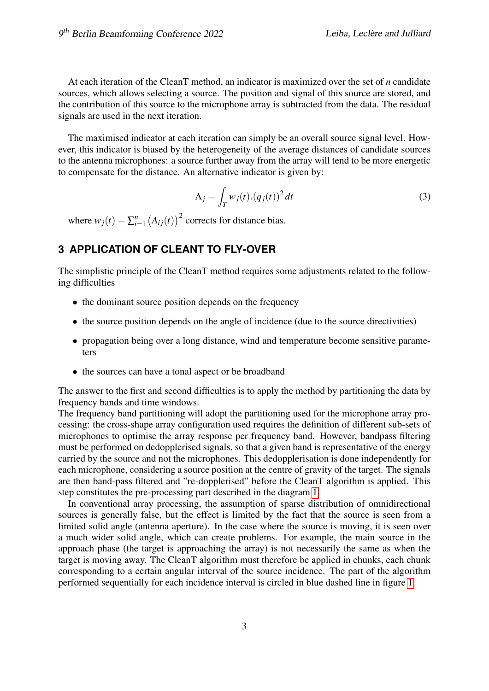At each iteration of the CleanT method, an indicator is maximized over the set of *n* candidate sources, which allows selecting a source. The position and signal of this source are stored, and the contribution of this source to the microphone array is subtracted from the data. The residual signals are used in the next iteration.

The maximised indicator at each iteration can simply be an overall source signal level. However, this indicator is biased by the heterogeneity of the average distances of candidate sources to the antenna microphones: a source further away from the array will tend to be more energetic to compensate for the distance. An alternative indicator is given by:

<span id="page-2-0"></span>
$$
\Lambda_j = \int_T w_j(t) \cdot (q_j(t))^2 dt \tag{3}
$$

where  $w_j(t) = \sum_{i=1}^n$  $\binom{n}{i=1}$   $(A_{ij}(t))^2$  corrects for distance bias.

## **3 APPLICATION OF CLEANT TO FLY-OVER**

The simplistic principle of the CleanT method requires some adjustments related to the following difficulties

- the dominant source position depends on the frequency
- the source position depends on the angle of incidence (due to the source directivities)
- propagation being over a long distance, wind and temperature become sensitive parameters
- the sources can have a tonal aspect or be broadband

The answer to the first and second difficulties is to apply the method by partitioning the data by frequency bands and time windows.

The frequency band partitioning will adopt the partitioning used for the microphone array processing: the cross-shape array configuration used requires the definition of different sub-sets of microphones to optimise the array response per frequency band. However, bandpass filtering must be performed on dedopplerised signals, so that a given band is representative of the energy carried by the source and not the microphones. This dedopplerisation is done independently for each microphone, considering a source position at the centre of gravity of the target. The signals are then band-pass filtered and "re-dopplerised" before the CleanT algorithm is applied. This step constitutes the pre-processing part described in the diagram [1.](#page-3-0)

In conventional array processing, the assumption of sparse distribution of omnidirectional sources is generally false, but the effect is limited by the fact that the source is seen from a limited solid angle (antenna aperture). In the case where the source is moving, it is seen over a much wider solid angle, which can create problems. For example, the main source in the approach phase (the target is approaching the array) is not necessarily the same as when the target is moving away. The CleanT algorithm must therefore be applied in chunks, each chunk corresponding to a certain angular interval of the source incidence. The part of the algorithm performed sequentially for each incidence interval is circled in blue dashed line in figure [1.](#page-3-0)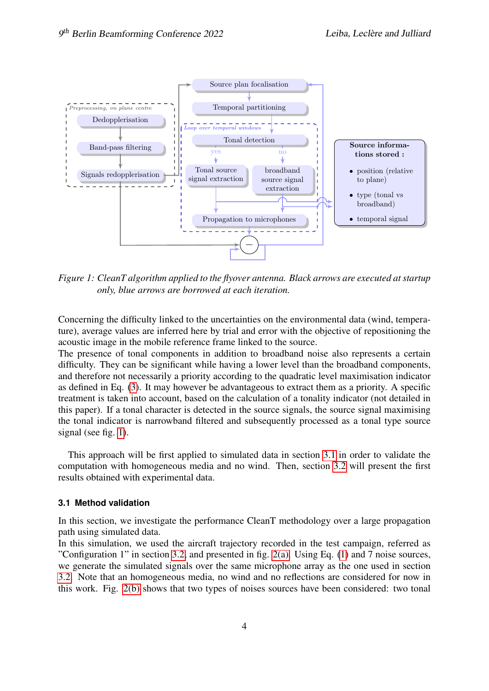

<span id="page-3-0"></span>*Figure 1: CleanT algorithm applied to the flyover antenna. Black arrows are executed at startup only, blue arrows are borrowed at each iteration.*

Concerning the difficulty linked to the uncertainties on the environmental data (wind, temperature), average values are inferred here by trial and error with the objective of repositioning the acoustic image in the mobile reference frame linked to the source.

The presence of tonal components in addition to broadband noise also represents a certain difficulty. They can be significant while having a lower level than the broadband components, and therefore not necessarily a priority according to the quadratic level maximisation indicator as defined in Eq. [\(3\)](#page-2-0). It may however be advantageous to extract them as a priority. A specific treatment is taken into account, based on the calculation of a tonality indicator (not detailed in this paper). If a tonal character is detected in the source signals, the source signal maximising the tonal indicator is narrowband filtered and subsequently processed as a tonal type source signal (see fig. [1\)](#page-3-0).

This approach will be first applied to simulated data in section [3.1](#page-3-1) in order to validate the computation with homogeneous media and no wind. Then, section [3.2](#page-5-0) will present the first results obtained with experimental data.

### <span id="page-3-1"></span>**3.1 Method validation**

In this section, we investigate the performance CleanT methodology over a large propagation path using simulated data.

In this simulation, we used the aircraft trajectory recorded in the test campaign, referred as "Configuration 1" in section [3.2,](#page-5-0) and presented in fig. [2\(a\).](#page-4-0) Using Eq. [\(1\)](#page-1-0) and 7 noise sources, we generate the simulated signals over the same microphone array as the one used in section [3.2.](#page-5-0) Note that an homogeneous media, no wind and no reflections are considered for now in this work. Fig. [2\(b\)](#page-4-1) shows that two types of noises sources have been considered: two tonal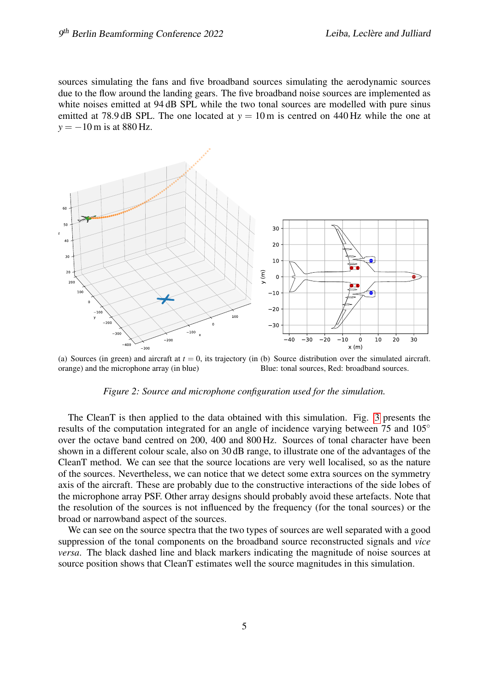sources simulating the fans and five broadband sources simulating the aerodynamic sources due to the flow around the landing gears. The five broadband noise sources are implemented as white noises emitted at 94 dB SPL while the two tonal sources are modelled with pure sinus emitted at 78.9 dB SPL. The one located at  $y = 10$  m is centred on 440 Hz while the one at  $y = -10$  m is at 880 Hz.

<span id="page-4-0"></span>

(a) Sources (in green) and aircraft at  $t = 0$ , its trajectory (in (b) Source distribution over the simulated aircraft. orange) and the microphone array (in blue) Blue: tonal sources, Red: broadband sources.

### <span id="page-4-1"></span>*Figure 2: Source and microphone configuration used for the simulation.*

The CleanT is then applied to the data obtained with this simulation. Fig. [3](#page-5-1) presents the results of the computation integrated for an angle of incidence varying between 75 and 105<sup>°</sup> over the octave band centred on 200, 400 and 800 Hz. Sources of tonal character have been shown in a different colour scale, also on 30 dB range, to illustrate one of the advantages of the CleanT method. We can see that the source locations are very well localised, so as the nature of the sources. Nevertheless, we can notice that we detect some extra sources on the symmetry axis of the aircraft. These are probably due to the constructive interactions of the side lobes of the microphone array PSF. Other array designs should probably avoid these artefacts. Note that the resolution of the sources is not influenced by the frequency (for the tonal sources) or the broad or narrowband aspect of the sources.

We can see on the source spectra that the two types of sources are well separated with a good suppression of the tonal components on the broadband source reconstructed signals and *vice versa*. The black dashed line and black markers indicating the magnitude of noise sources at source position shows that CleanT estimates well the source magnitudes in this simulation.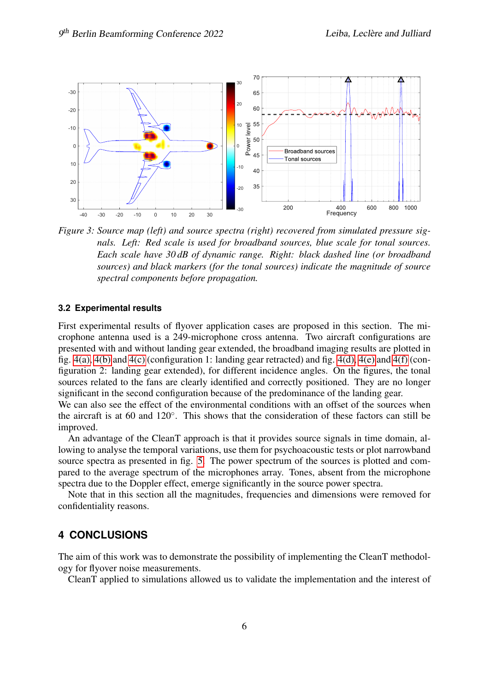

<span id="page-5-1"></span>*Figure 3: Source map (left) and source spectra (right) recovered from simulated pressure signals. Left: Red scale is used for broadband sources, blue scale for tonal sources. Each scale have 30 dB of dynamic range. Right: black dashed line (or broadband sources) and black markers (for the tonal sources) indicate the magnitude of source spectral components before propagation.*

#### <span id="page-5-0"></span>**3.2 Experimental results**

First experimental results of flyover application cases are proposed in this section. The microphone antenna used is a 249-microphone cross antenna. Two aircraft configurations are presented with and without landing gear extended, the broadband imaging results are plotted in fig. [4\(a\),](#page-6-0) [4\(b\)](#page-6-1) and [4\(c\)](#page-6-2) (configuration 1: landing gear retracted) and fig. [4\(d\),](#page-6-3) [4\(e\)](#page-6-4) and [4\(f\)](#page-6-5) (configuration 2: landing gear extended), for different incidence angles. On the figures, the tonal sources related to the fans are clearly identified and correctly positioned. They are no longer significant in the second configuration because of the predominance of the landing gear.

We can also see the effect of the environmental conditions with an offset of the sources when the aircraft is at 60 and 120◦ . This shows that the consideration of these factors can still be improved.

An advantage of the CleanT approach is that it provides source signals in time domain, allowing to analyse the temporal variations, use them for psychoacoustic tests or plot narrowband source spectra as presented in fig. [5.](#page-7-6) The power spectrum of the sources is plotted and compared to the average spectrum of the microphones array. Tones, absent from the microphone spectra due to the Doppler effect, emerge significantly in the source power spectra.

Note that in this section all the magnitudes, frequencies and dimensions were removed for confidentiality reasons.

## **4 CONCLUSIONS**

The aim of this work was to demonstrate the possibility of implementing the CleanT methodology for flyover noise measurements.

CleanT applied to simulations allowed us to validate the implementation and the interest of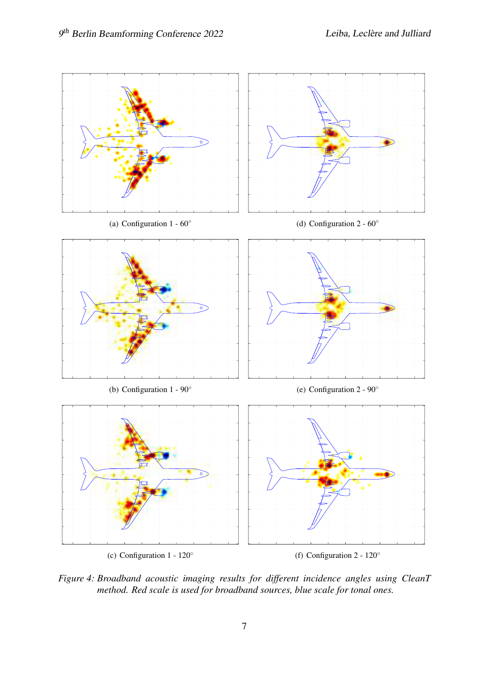<span id="page-6-3"></span><span id="page-6-0"></span>

<span id="page-6-5"></span><span id="page-6-4"></span><span id="page-6-2"></span><span id="page-6-1"></span>*Figure 4: Broadband acoustic imaging results for different incidence angles using CleanT method. Red scale is used for broadband sources, blue scale for tonal ones.*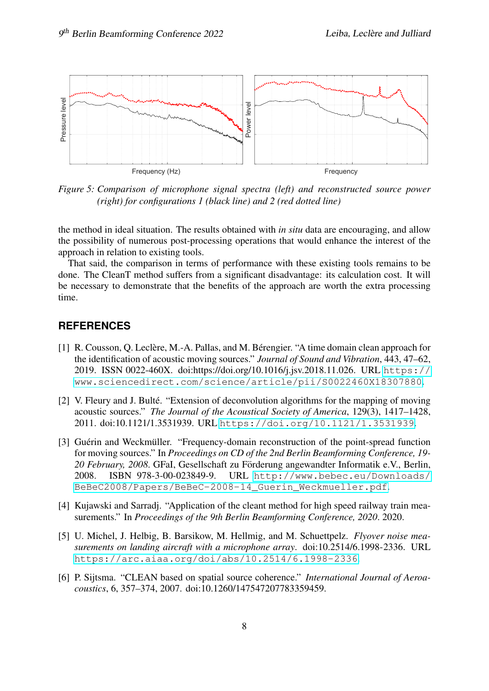

<span id="page-7-6"></span>*Figure 5: Comparison of microphone signal spectra (left) and reconstructed source power (right) for configurations 1 (black line) and 2 (red dotted line)*

the method in ideal situation. The results obtained with *in situ* data are encouraging, and allow the possibility of numerous post-processing operations that would enhance the interest of the approach in relation to existing tools.

That said, the comparison in terms of performance with these existing tools remains to be done. The CleanT method suffers from a significant disadvantage: its calculation cost. It will be necessary to demonstrate that the benefits of the approach are worth the extra processing time.

## **REFERENCES**

- <span id="page-7-3"></span>[1] R. Cousson, Q. Leclère, M.-A. Pallas, and M. Bérengier. "A time domain clean approach for the identification of acoustic moving sources." *Journal of Sound and Vibration*, 443, 47–62, 2019. ISSN 0022-460X. doi:https://doi.org/10.1016/j.jsv.2018.11.026. URL [https://](https://www.sciencedirect.com/science/article/pii/S0022460X18307880) [www.sciencedirect.com/science/article/pii/S0022460X18307880](https://www.sciencedirect.com/science/article/pii/S0022460X18307880).
- <span id="page-7-1"></span>[2] V. Fleury and J. Bulté. "Extension of deconvolution algorithms for the mapping of moving acoustic sources." *The Journal of the Acoustical Society of America*, 129(3), 1417–1428, 2011. doi:10.1121/1.3531939. URL <https://doi.org/10.1121/1.3531939>.
- <span id="page-7-2"></span>[3] Guérin and Weckmüller. "Frequency-domain reconstruction of the point-spread function for moving sources." In *Proceedings on CD of the 2nd Berlin Beamforming Conference, 19- 20 February, 2008*. GFaI, Gesellschaft zu Forderung angewandter Informatik e.V., Berlin, ¨ 2008. ISBN 978-3-00-023849-9. URL [http://www.bebec.eu/Downloads/](http://www.bebec.eu/Downloads/BeBeC2008/Papers/BeBeC-2008-14_Guerin_Weckmueller.pdf) [BeBeC2008/Papers/BeBeC-2008-14\\_Guerin\\_Weckmueller.pdf](http://www.bebec.eu/Downloads/BeBeC2008/Papers/BeBeC-2008-14_Guerin_Weckmueller.pdf).
- <span id="page-7-5"></span>[4] Kujawski and Sarradj. "Application of the cleant method for high speed railway train measurements." In *Proceedings of the 9th Berlin Beamforming Conference, 2020*. 2020.
- <span id="page-7-0"></span>[5] U. Michel, J. Helbig, B. Barsikow, M. Hellmig, and M. Schuettpelz. *Flyover noise measurements on landing aircraft with a microphone array*. doi:10.2514/6.1998-2336. URL <https://arc.aiaa.org/doi/abs/10.2514/6.1998-2336>.
- <span id="page-7-4"></span>[6] P. Sijtsma. "CLEAN based on spatial source coherence." *International Journal of Aeroacoustics*, 6, 357–374, 2007. doi:10.1260/147547207783359459.